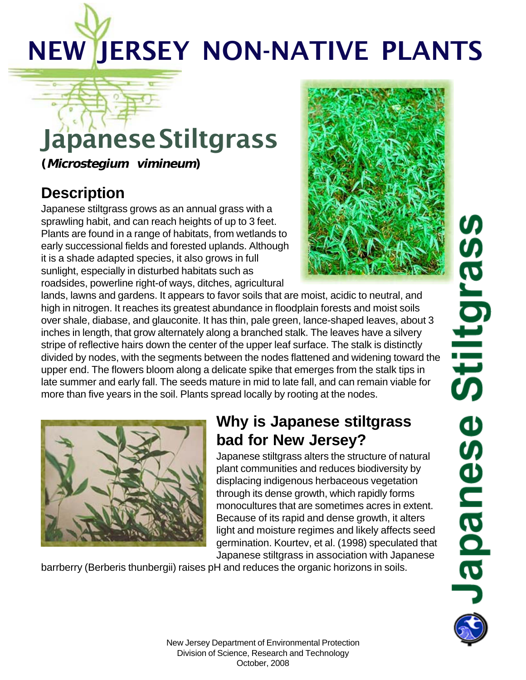# NEW JERSEY NON-NATIVE PLANTS

## JapaneseStiltgrass

**(Microstegium vimineum)**

#### **Description**

Japanese stiltgrass grows as an annual grass with a sprawling habit, and can reach heights of up to 3 feet. Plants are found in a range of habitats, from wetlands to early successional fields and forested uplands. Although it is a shade adapted species, it also grows in full sunlight, especially in disturbed habitats such as roadsides, powerline right-of ways, ditches, agricultural



lands, lawns and gardens. It appears to favor soils that are moist, acidic to neutral, and high in nitrogen. It reaches its greatest abundance in floodplain forests and moist soils over shale, diabase, and glauconite. It has thin, pale green, lance-shaped leaves, about 3 inches in length, that grow alternately along a branched stalk. The leaves have a silvery stripe of reflective hairs down the center of the upper leaf surface. The stalk is distinctly divided by nodes, with the segments between the nodes flattened and widening toward the upper end. The flowers bloom along a delicate spike that emerges from the stalk tips in late summer and early fall. The seeds mature in mid to late fall, and can remain viable for more than five years in the soil. Plants spread locally by rooting at the nodes.



#### **Why is Japanese stiltgrass bad for New Jersey?**

Japanese stiltgrass alters the structure of natural plant communities and reduces biodiversity by displacing indigenous herbaceous vegetation through its dense growth, which rapidly forms monocultures that are sometimes acres in extent. Because of its rapid and dense growth, it alters light and moisture regimes and likely affects seed germination. Kourtev, et al. (1998) speculated that Japanese stiltgrass in association with Japanese

barrberry (Berberis thunbergii) raises pH and reduces the organic horizons in soils.

(J Stiltgras **Japanese**